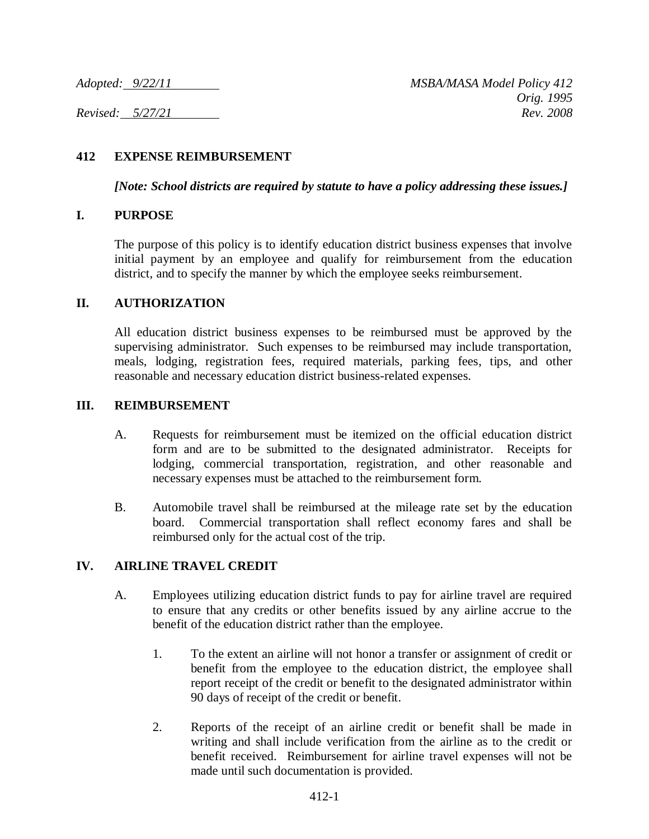### **412 EXPENSE REIMBURSEMENT**

*[Note: School districts are required by statute to have a policy addressing these issues.]*

### **I. PURPOSE**

The purpose of this policy is to identify education district business expenses that involve initial payment by an employee and qualify for reimbursement from the education district, and to specify the manner by which the employee seeks reimbursement.

#### **II. AUTHORIZATION**

All education district business expenses to be reimbursed must be approved by the supervising administrator. Such expenses to be reimbursed may include transportation, meals, lodging, registration fees, required materials, parking fees, tips, and other reasonable and necessary education district business-related expenses.

### **III. REIMBURSEMENT**

- A. Requests for reimbursement must be itemized on the official education district form and are to be submitted to the designated administrator. Receipts for lodging, commercial transportation, registration, and other reasonable and necessary expenses must be attached to the reimbursement form.
- B. Automobile travel shall be reimbursed at the mileage rate set by the education board. Commercial transportation shall reflect economy fares and shall be reimbursed only for the actual cost of the trip.

# **IV. AIRLINE TRAVEL CREDIT**

- A. Employees utilizing education district funds to pay for airline travel are required to ensure that any credits or other benefits issued by any airline accrue to the benefit of the education district rather than the employee.
	- 1. To the extent an airline will not honor a transfer or assignment of credit or benefit from the employee to the education district, the employee shall report receipt of the credit or benefit to the designated administrator within 90 days of receipt of the credit or benefit.
	- 2. Reports of the receipt of an airline credit or benefit shall be made in writing and shall include verification from the airline as to the credit or benefit received. Reimbursement for airline travel expenses will not be made until such documentation is provided.